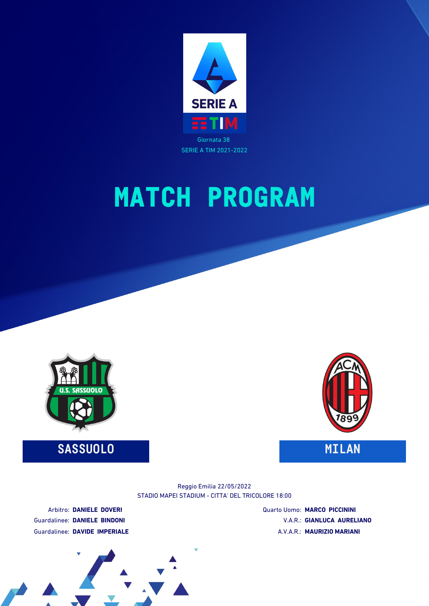

# **MATCH PROGRAM**



**SASSUOLO MILAN**



STADIO MAPEI STADIUM - CITTA' DEL TRICOLORE 18:00 Reggio Emilia 22/05/2022

Arbitro: **DANIELE DOVERI** Guardalinee: **DANIELE BINDONI** Guardalinee: **DAVIDE IMPERIALE** Quarto Uomo: **MARCO PICCININI** V.A.R.: **GIANLUCA AURELIANO** A.V.A.R.: **MAURIZIO MARIANI**

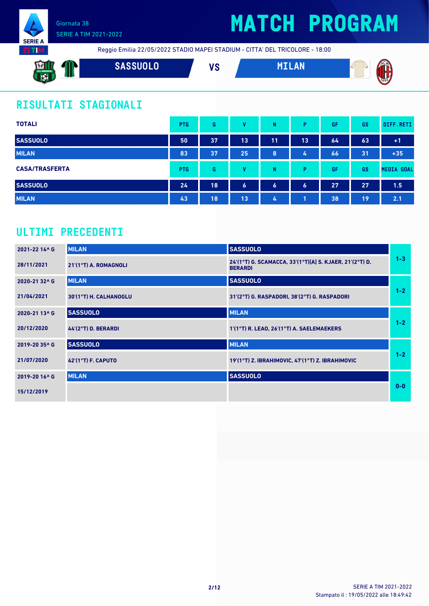

# **MATCH PROGRAM**



Reggio Emilia 22/05/2022 STADIO MAPEI STADIUM - CITTA' DEL TRICOLORE - 18:00

**SASSUOLO VS MILAN**

### **RISULTATI STAGIONALI**

Giornata 38

SERIE A TIM 2021-2022

| <b>TOTALI</b>         | <b>PTG</b> | G  | v  | N                | Þ                | GF | GS | DIFF.RETI         |
|-----------------------|------------|----|----|------------------|------------------|----|----|-------------------|
| <b>SASSUOLO</b>       | 50         | 37 | 13 | 11               | 13               | 64 | 63 | $+1$              |
| <b>MILAN</b>          | 83         | 37 | 25 | 8                | 4                | 66 | 31 | $+35$             |
| <b>CASA/TRASFERTA</b> | <b>PTG</b> | G  | v  | N                | Þ                | GF | GS | <b>MEDIA GOAL</b> |
| <b>SASSUOLO</b>       | 24         | 18 | 6  | $\boldsymbol{6}$ | $\boldsymbol{6}$ | 27 | 27 | 1.5               |
| <b>MILAN</b>          | 43         | 18 | 13 | 4                |                  | 38 | 19 | 2.1               |

### **ULTIMI PRECEDENTI**

| 2021-22 14^ G             | <b>MILAN</b>           | <b>SASSUOLO</b>                                                           |         |
|---------------------------|------------------------|---------------------------------------------------------------------------|---------|
| 28/11/2021                | 21'(1°T) A. ROMAGNOLI  | 24'(1°T) G. SCAMACCA, 33'(1°T)[A] S. KJAER, 21'(2°T) D.<br><b>BERARDI</b> | $1 - 3$ |
| 2020-21 32^6              | <b>MILAN</b>           | <b>SASSUOLO</b>                                                           |         |
| 21/04/2021                | 30'(1°T) H. CALHANOGLU | 31'(2°T) G. RASPADORI, 38'(2°T) G. RASPADORI                              | $1 - 2$ |
| 2020-21 13^ G             | <b>SASSUOLO</b>        | <b>MILAN</b>                                                              |         |
| 20/12/2020                | 44'(2°T) D. BERARDI    | 1'(1°T) R. LEAO, 26'(1°T) A. SAELEMAEKERS                                 | $1 - 2$ |
| 2019-20 35^ G             | <b>SASSUOLO</b>        | <b>MILAN</b>                                                              |         |
| 21/07/2020                | $42'(1°T)$ F. CAPUTO   | 19'(1°T) Z. IBRAHIMOVIC, 47'(1°T) Z. IBRAHIMOVIC                          | $1 - 2$ |
| 2019-20 16 <sup>^</sup> G | <b>MILAN</b>           | <b>SASSUOLO</b>                                                           |         |
| 15/12/2019                |                        |                                                                           | $0 - 0$ |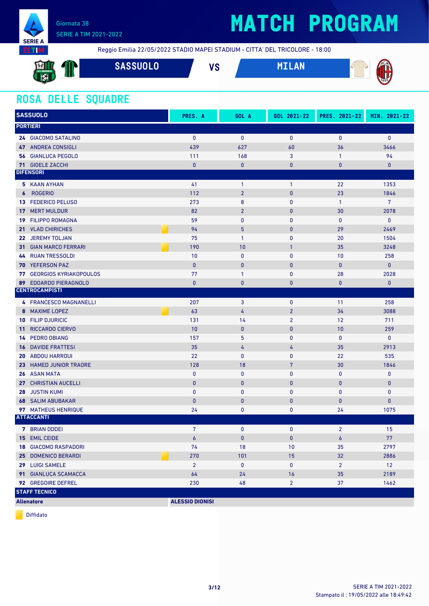

# **MATCH PROGRAM**

Reggio Emilia 22/05/2022 STADIO MAPEI STADIUM - CITTA' DEL TRICOLORE - 18:00

| <b>SALES AND</b><br><b>External</b><br>U.S. SASSUOLO<br>$\mathbf{E}$<br><b>SALE</b> | <b>SASSUOLO</b> | <b>VC</b><br>ು | <b>AN</b><br>MET IN | ACM<br>ш<br>$\sqrt{\frac{1}{1899}}$<br>v |
|-------------------------------------------------------------------------------------|-----------------|----------------|---------------------|------------------------------------------|
| 52                                                                                  |                 |                |                     |                                          |

### **ROSA DELLE SQUADRE**

|                  | <b>SASSUOLO</b>                  | PRES. A                | GOL A          | GOL 2021-22    | PRES. 2021-22  | MIN. 2021-22   |
|------------------|----------------------------------|------------------------|----------------|----------------|----------------|----------------|
|                  | <b>PORTIERI</b>                  |                        |                |                |                |                |
|                  | 24 GIACOMO SATALINO              | $\mathbf{0}$           | $\mathbf{0}$   | $\mathbf{0}$   | $\mathbf{0}$   | $\mathbf{0}$   |
|                  | <b>47 ANDREA CONSIGLI</b>        | 439                    | 627            | 60             | 36             | 3466           |
|                  | <b>56 GIANLUCA PEGOLO</b>        | 111                    | 168            | 3              | $\mathbf{1}$   | 94             |
|                  | 71 GIOELE ZACCHI                 | $\mathbf{0}$           | $\bf{0}$       | $\bf{0}$       | 0              | $\bf{0}$       |
|                  | <b>DIFENSORI</b>                 |                        |                |                |                |                |
|                  | 5 KAAN AYHAN                     | 41                     | $\mathbf{1}$   | 1              | 22             | 1353           |
| $\boldsymbol{6}$ | <b>ROGERIO</b>                   | 112                    | $\overline{2}$ | $\pmb{0}$      | 23             | 1846           |
| 13               | <b>FEDERICO PELUSO</b>           | 273                    | $\bf 8$        | 0              | $\mathbf{1}$   | $\overline{7}$ |
| 17               | <b>MERT MULDUR</b>               | 82                     | $\overline{2}$ | $\bf{0}$       | 30             | 2078           |
| 19               | <b>FILIPPO ROMAGNA</b>           | 59                     | $\mathbf{0}$   | $\mathbf{0}$   | 0              | $\bf{0}$       |
| 21               | <b>VLAD CHIRICHES</b>            | 94                     | 5              | $\bf{0}$       | 29             | 2469           |
|                  | 22 JEREMY TOLJAN                 | 75                     | $\mathbf{1}$   | 0              | 20             | 1504           |
|                  | <b>31 GIAN MARCO FERRARI</b>     | 190                    | 10             | $\mathbf{1}$   | 35             | 3248           |
| 44               | <b>RUAN TRESSOLDI</b>            | 10                     | $\mathbf{0}$   | 0              | 10             | 258            |
| 70               | <b>YEFERSON PAZ</b>              | $\pmb{0}$              | $\mathbf{0}$   | $\bf{0}$       | $\bf{0}$       | $\mathbf{0}$   |
|                  | <b>77 GEORGIOS KYRIAKOPOULOS</b> | 77                     | $\mathbf{1}$   | 0              | 28             | 2028           |
| 89               | <b>EDOARDO PIERAGNOLO</b>        | $\mathbf{0}$           | $\mathbf{0}$   | 0              | 0              | $\mathbf{0}$   |
|                  | <b>CENTROCAMPISTI</b>            |                        |                |                |                |                |
|                  | 4 FRANCESCO MAGNANELLI           | 207                    | 3              | 0              | 11             | 258            |
| 8                | <b>MAXIME LOPEZ</b>              | 63                     | 4              | $\overline{2}$ | 34             | 3088           |
|                  | <b>10 FILIP DJURICIC</b>         | 131                    | 14             | $\overline{2}$ | 12             | 711            |
| 11 <sup>1</sup>  | <b>RICCARDO CIERVO</b>           | 10                     | $\mathbf{0}$   | $\bf{0}$       | 10             | 259            |
| 14               | <b>PEDRO OBIANG</b>              | 157                    | 5              | $\mathbf{0}$   | $\mathbf{0}$   | $\mathbf 0$    |
| 16               | <b>DAVIDE FRATTESI</b>           | 35                     | 4              | 4              | 35             | 2913           |
|                  | <b>20 ABDOU HARROUI</b>          | 22                     | $\mathbf{0}$   | 0              | 22             | 535            |
|                  | 23 HAMED JUNIOR TRAORE           | 128                    | 18             | 7              | 30             | 1846           |
|                  | <b>26 ASAN MATA</b>              | 0                      | $\mathbf{0}$   | 0              | 0              | $\mathbf 0$    |
|                  | 27 CHRISTIAN AUCELLI             | $\pmb{0}$              | $\mathbf{0}$   | $\mathbf 0$    | $\bf{0}$       | $\pmb{0}$      |
| 28               | <b>JUSTIN KUMI</b>               | $\mathbf{0}$           | $\mathbf{0}$   | 0              | $\mathbf{0}$   | $\mathbf 0$    |
|                  | <b>68 SALIM ABUBAKAR</b>         | $\bf{0}$               | $\bf{0}$       | 0              | 0              | $\pmb{0}$      |
|                  | 97 MATHEUS HENRIQUE              | 24                     | 0              | 0              | 24             | 1075           |
|                  | <b>ATTACCANTI</b>                |                        |                |                |                |                |
|                  | 7 BRIAN ODDEI                    | 7                      | $\mathbf 0$    | $\mathbf{0}$   | $2^{\circ}$    | 15             |
|                  | 15 EMIL CEIDE                    | $\epsilon$             | $\mathbf 0$    | $\mathbf{0}$   | 6              | 77             |
|                  | <b>18 GIACOMO RASPADORI</b>      | 74                     | 18             | 10             | 35             | 2797           |
|                  | 25 DOMENICO BERARDI              | 270                    | 101            | 15             | 32             | 2886           |
|                  | 29 LUIGI SAMELE                  | $\overline{2}$         | $\bf{0}$       | 0              | $\overline{2}$ | 12             |
|                  | 91 GIANLUCA SCAMACCA             | 64                     | 24             | 16             | 35             | 2189           |
|                  | 92 GREGOIRE DEFREL               | 230                    | 48             | $\overline{2}$ | 37             | 1462           |
|                  | <b>STAFF TECNICO</b>             |                        |                |                |                |                |
|                  | <b>Allenatore</b>                | <b>ALESSIO DIONISI</b> |                |                |                |                |

Diffidato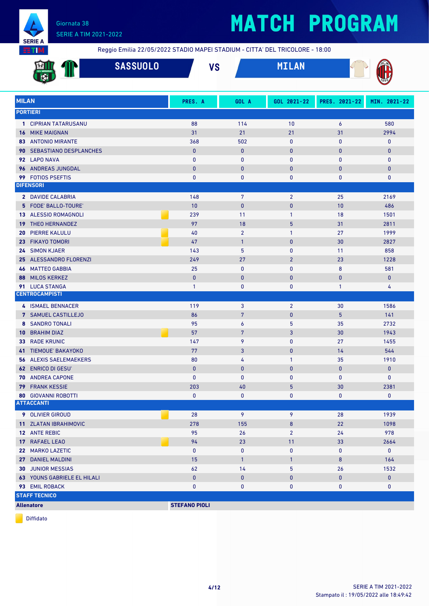

# **MATCH PROGRAM**

Reggio Emilia 22/05/2022 STADIO MAPEI STADIUM - CITTA' DEL TRICOLORE - 18:00

|                 |                                                 | <b>SASSUOLO</b> |                          | <b>VS</b> |                        | <b>MILAN</b>   |               |                   |
|-----------------|-------------------------------------------------|-----------------|--------------------------|-----------|------------------------|----------------|---------------|-------------------|
| <b>MILAN</b>    |                                                 |                 | PRES. A                  |           | GOL A                  | GOL 2021-22    | PRES. 2021-22 | MIN. 2021-22      |
|                 | <b>PORTIERI</b>                                 |                 |                          |           |                        |                |               |                   |
|                 | 1 CIPRIAN TATARUSANU                            |                 | 88                       |           | 114                    | 10             | 6             | 580               |
| 16              | <b>MIKE MAIGNAN</b>                             |                 | 31                       |           | 21                     | 21             | 31            | 2994              |
|                 | <b>83 ANTONIO MIRANTE</b>                       |                 | 368                      |           | 502                    | $\mathbf 0$    | $\mathbf{0}$  | 0                 |
| 90              | <b>SEBASTIANO DESPLANCHES</b>                   |                 | $\pmb{0}$                |           | $\mathbf{0}$           | $\mathbf{0}$   | $\bf{0}$      | $\pmb{0}$         |
|                 | 92 LAPO NAVA                                    |                 | $\mathbf{0}$             |           | $\mathbf{0}$           | $\mathbf{0}$   | $\mathbf{0}$  | $\mathbf 0$       |
| 96              | ANDREAS JUNGDAL                                 |                 | $\pmb{0}$                |           | $\bf{0}$               | $\mathbf{0}$   | $\bf{0}$      | $\pmb{0}$         |
| 99              | <b>FOTIOS PSEFTIS</b>                           |                 | $\pmb{0}$                |           | $\mathbf{0}$           | $\mathbf 0$    | 0             | 0                 |
|                 | <b>DIFENSORI</b>                                |                 |                          |           |                        |                |               |                   |
|                 | 2 DAVIDE CALABRIA                               |                 | 148                      |           | 7                      | $\overline{2}$ | 25            | 2169              |
|                 | 5 FODE' BALLO-TOURE'                            |                 | 10                       |           | $\mathbf{0}$           | $\pmb{0}$      | 10            | 486               |
|                 | 13 ALESSIO ROMAGNOLI                            |                 | 239                      |           | 11                     | $\mathbf{1}$   | 18            | 1501              |
| 19              | THEO HERNANDEZ                                  |                 | 97                       |           | 18                     | 5              | 31            | 2811              |
| 20              | <b>PIERRE KALULU</b>                            |                 | 40                       |           | $\overline{2}$         | $\mathbf{1}$   | 27            | 1999              |
| 23 <sup>2</sup> | <b>FIKAYO TOMORI</b>                            |                 | 47                       |           | $\mathbf{1}$           | $\mathbf{0}$   | 30            | 2827              |
| 24              | <b>SIMON KJAER</b>                              |                 | 143                      |           | 5                      | $\mathbf 0$    | 11            | 858               |
| 25              | <b>ALESSANDRO FLORENZI</b>                      |                 | 249                      |           | 27                     | $\overline{2}$ | 23            | 1228              |
| 46              | <b>MATTEO GABBIA</b>                            |                 | 25                       |           | $\bf{0}$               | $\mathbf 0$    | 8             | 581               |
| 88              | <b>MILOS KERKEZ</b>                             |                 | $\mathbf{0}$             |           | $\mathbf{0}$           | $\mathbf{0}$   | $\mathbf{0}$  | $\bf{0}$          |
|                 | 91 LUCA STANGA                                  |                 | $\mathbf{1}$             |           | $\bf{0}$               | $\mathbf 0$    | $\mathbf{1}$  | 4                 |
|                 | <b>CENTROCAMPISTI</b>                           |                 |                          |           |                        |                |               |                   |
|                 | 4 ISMAEL BENNACER                               |                 | 119                      |           | 3                      | $\overline{2}$ | 30            | 1586              |
|                 | 7 SAMUEL CASTILLEJO                             |                 | 86                       |           | $\overline{7}$         | $\pmb{0}$      | 5             | 141               |
|                 | <b>8 SANDRO TONALI</b>                          |                 | 95                       |           | 6                      | 5              | 35            | 2732              |
| 10              | <b>BRAHIM DIAZ</b>                              |                 | 57                       |           | $\overline{7}$         | $\mathbf{3}$   | 30            | 1943              |
| 33              | <b>RADE KRUNIC</b>                              |                 | 147                      |           | 9                      | $\mathbf 0$    | 27            | 1455              |
| 41              | <b>TIEMOUE' BAKAYOKO</b>                        |                 | 77                       |           | 3                      | $\mathbf{0}$   | 14            | 544               |
| 56              | <b>ALEXIS SAELEMAEKERS</b>                      |                 | 80                       |           | 4                      | $\mathbf{1}$   | 35            | 1910              |
|                 | <b>62 ENRICO DI GESU'</b>                       |                 | $\mathbf{0}$             |           | $\mathbf{0}$           | $\mathbf{0}$   | $\mathbf{0}$  | 0                 |
|                 | 70 ANDREA CAPONE                                |                 | $\mathbf{0}$             |           | $\mathbf{0}$           | $\mathbf{0}$   | $\mathbf{0}$  | $\mathbf{0}$      |
|                 | <b>79 FRANK KESSIE</b>                          |                 | 203                      |           | 40                     | $\overline{5}$ | 30            | 2381              |
|                 | <b>80 GIOVANNI ROBOTTI</b><br><b>ATTACCANTI</b> |                 | $\mathbf 0$              |           | 0                      | 0              | 0             | $\mathbf{0}$      |
|                 |                                                 |                 |                          |           |                        |                |               |                   |
|                 | 9 OLIVIER GIROUD                                |                 | 28                       |           | 9                      | 9              | 28            | 1939              |
|                 | 11 ZLATAN IBRAHIMOVIC                           |                 | 278                      |           | 155                    | 8              | 22            | 1098              |
|                 | 12 ANTE REBIC                                   |                 | 95                       |           | 26                     | $\overline{2}$ | 24            | 978               |
|                 | 17 RAFAEL LEAO                                  |                 | 94                       |           | 23                     | 11             | 33            | 2664              |
|                 | 22 MARKO LAZETIC                                |                 | $\mathbf 0$              |           | $\pmb{0}$              | $\pmb{0}$      | 0             | $\mathbf 0$       |
|                 | 27 DANIEL MALDINI                               |                 | 15                       |           | $\mathbf{1}$           | 1              | 8             | 164               |
|                 | <b>30 JUNIOR MESSIAS</b>                        |                 | 62                       |           | 14                     | 5              | 26            | 1532              |
|                 | <b>63 YOUNS GABRIELE EL HILALI</b>              |                 | $\pmb{0}$<br>$\mathbf 0$ |           | $\pmb{0}$<br>$\pmb{0}$ | $\pmb{0}$<br>0 | 0<br>0        | $\mathbf{0}$<br>0 |
|                 | 93 EMIL ROBACK<br><b>STAFF TECNICO</b>          |                 |                          |           |                        |                |               |                   |
|                 | <b>Allenatore</b>                               |                 | <b>STEFANO PIOLI</b>     |           |                        |                |               |                   |
|                 |                                                 |                 |                          |           |                        |                |               |                   |

Diffidato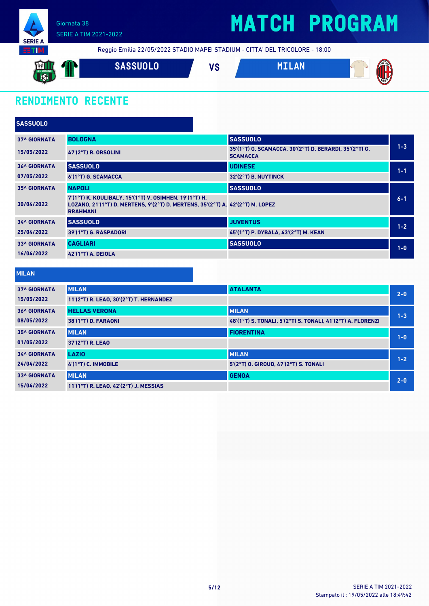

### **MATCH PROGRAM**

Reggio Emilia 22/05/2022 STADIO MAPEI STADIUM - CITTA' DEL TRICOLORE - 18:00



### **RENDIMENTO RECENTE**

| <b>SASSUOLO</b>     |                                                                                                                                                             |                                                                           |         |
|---------------------|-------------------------------------------------------------------------------------------------------------------------------------------------------------|---------------------------------------------------------------------------|---------|
| <b>37^ GIORNATA</b> | <b>BOLOGNA</b>                                                                                                                                              | <b>SASSUOLO</b>                                                           |         |
| 15/05/2022          | 47'(2°T) R. ORSOLINI                                                                                                                                        | 35'(1°T) G. SCAMACCA, 30'(2°T) D. BERARDI, 35'(2°T) G.<br><b>SCAMACCA</b> | $1 - 3$ |
| <b>36^ GIORNATA</b> | <b>SASSUOLO</b>                                                                                                                                             | <b>UDINESE</b>                                                            | $1 - 1$ |
| 07/05/2022          | 6'(1°T) G. SCAMACCA                                                                                                                                         | 32'(2°T) B. NUYTINCK                                                      |         |
| <b>35^ GIORNATA</b> | <b>NAPOLI</b>                                                                                                                                               | <b>SASSUOLO</b>                                                           |         |
| 30/04/2022          | 7'(1°T) K. KOULIBALY, 15'(1°T) V. OSIMHEN, 19'(1°T) H.<br>LOZANO, 21'(1°T) D. MERTENS, 9'(2°T) D. MERTENS, 35'(2°T) A. 42'(2°T) M. LOPEZ<br><b>RRAHMANI</b> |                                                                           | $6 - 1$ |
| <b>34^ GIORNATA</b> | <b>SASSUOLO</b>                                                                                                                                             | <b>JUVENTUS</b>                                                           | $1 - 2$ |
| 25/04/2022          | 39'(1°T) G. RASPADORI                                                                                                                                       | 45 (1°T) P. DYBALA, 43 (2°T) M. KEAN                                      |         |
| <b>33^ GIORNATA</b> | <b>CAGLIARI</b>                                                                                                                                             | <b>SASSUOLO</b>                                                           | $1-0$   |
| 16/04/2022          | <b>42'(1°T) A. DEIOLA</b>                                                                                                                                   |                                                                           |         |

#### **MILAN**

| <b>37^ GIORNATA</b> | <b>MILAN</b>                            | <b>ATALANTA</b>                                             | $2 - 0$ |
|---------------------|-----------------------------------------|-------------------------------------------------------------|---------|
| 15/05/2022          | 11'(2°T) R. LEAO, 30'(2°T) T. HERNANDEZ |                                                             |         |
| <b>36^ GIORNATA</b> | <b>HELLAS VERONA</b>                    | <b>MILAN</b>                                                | $1 - 3$ |
| 08/05/2022          | 38'(1°T) D. FARAONI                     | 48'(1°T) S. TONALI, 5'(2°T) S. TONALI, 41'(2°T) A. FLORENZI |         |
| <b>35^ GIORNATA</b> | <b>MILAN</b>                            | <b>FIORENTINA</b>                                           | $1 - 0$ |
| 01/05/2022          | 37'(2°T) R. LEAO                        |                                                             |         |
| <b>34^ GIORNATA</b> | <b>LAZIO</b>                            | <b>MILAN</b>                                                | $1 - 2$ |
| 24/04/2022          | 4'(1°T) C. IMMOBILE                     | 5'(2°T) O. GIROUD, 47'(2°T) S. TONALI                       |         |
| <b>33^ GIORNATA</b> | <b>MILAN</b>                            | <b>GENOA</b>                                                | $2 - 0$ |
| 15/04/2022          | 11'(1°T) R. LEAO, 42'(2°T) J. MESSIAS   |                                                             |         |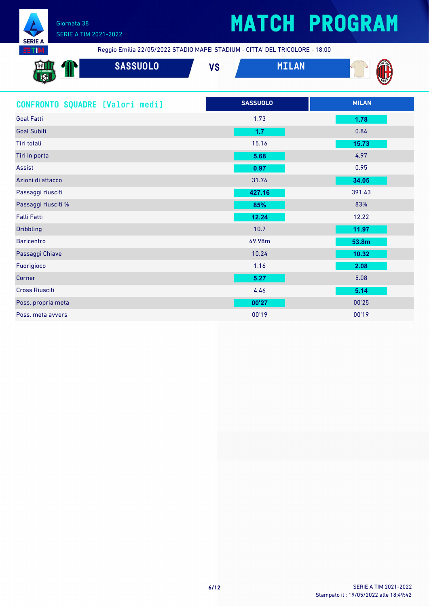

## **MATCH PROGRAM**

Reggio Emilia 22/05/2022 STADIO MAPEI STADIUM - CITTA' DEL TRICOLORE - 18:00

| $\frac{1}{2}$<br>$\overline{\mathbf{C}}$<br>$-8 - -2$ | <b>SASSUOLO</b> | $\mathbf{u}$<br>,, | <b>ANT</b> | <b>ALM</b><br>N |
|-------------------------------------------------------|-----------------|--------------------|------------|-----------------|
|                                                       |                 |                    |            | 7899            |

| CONFRONTO SQUADRE [Valori medi] | <b>SASSUOLO</b> | <b>MILAN</b> |
|---------------------------------|-----------------|--------------|
| <b>Goal Fatti</b>               | 1.73            | 1.78         |
| <b>Goal Subiti</b>              | 1.7             | 0.84         |
| Tiri totali                     | 15.16           | 15.73        |
| Tiri in porta                   | 5.68            | 4.97         |
| Assist                          | 0.97            | 0.95         |
| Azioni di attacco               | 31.76           | 34.05        |
| Passaggi riusciti               | 427.16          | 391.43       |
| Passaggi riusciti %             | 85%             | 83%          |
| <b>Falli Fatti</b>              | 12.24           | 12.22        |
| <b>Dribbling</b>                | 10.7            | 11.97        |
| <b>Baricentro</b>               | 49.98m          | 53.8m        |
| Passaggi Chiave                 | 10.24           | 10.32        |
| Fuorigioco                      | 1.16            | 2.08         |
| Corner                          | 5.27            | 5.08         |
| <b>Cross Riusciti</b>           | 4.46            | 5.14         |
| Poss. propria meta              | 00'27           | 00'25        |
| Poss. meta avvers               | 00'19           | 00'19        |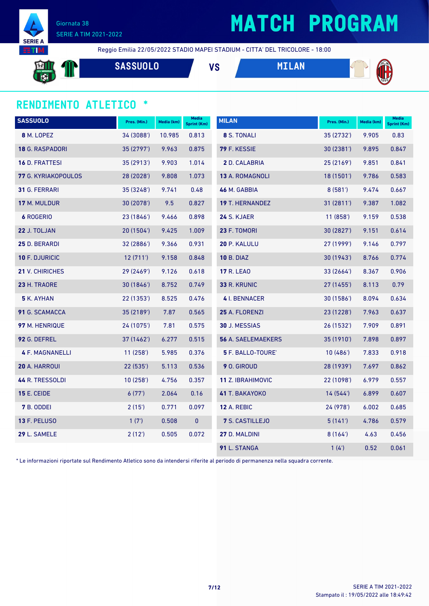

# **MATCH PROGRAM**

Reggio Emilia 22/05/2022 STADIO MAPEI STADIUM - CITTA' DEL TRICOLORE - 18:00

**SASSUOLO VS MILAN**



### **RENDIMENTO ATLETICO \***

| <b>SASSUOLO</b>        | Pres. (Min.) | Media (km) | Media<br><b>Sprint (Km)</b> | <b>MILAN</b>              | Pres. (Min.) | Media (km) | <b>Media</b><br>Sprint (Km) |
|------------------------|--------------|------------|-----------------------------|---------------------------|--------------|------------|-----------------------------|
| 8 M. LOPEZ             | 34 (3088')   | 10.985     | 0.813                       | 8 S. TONALI               | 35 (2732')   | 9.905      | 0.83                        |
| 18 G. RASPADORI        | 35 (2797')   | 9.963      | 0.875                       | 79 F. KESSIE              | 30 (2381')   | 9.895      | 0.847                       |
| <b>16 D. FRATTESI</b>  | 35 (2913')   | 9.903      | 1.014                       | 2 D. CALABRIA             | 25 (2169')   | 9.851      | 0.841                       |
| 77 G. KYRIAKOPOULOS    | 28 (2028')   | 9.808      | 1.073                       | 13 A. ROMAGNOLI           | 18 (1501')   | 9.786      | 0.583                       |
| 31 G. FERRARI          | 35 (3248')   | 9.741      | 0.48                        | 46 M. GABBIA              | 8(581)       | 9.474      | 0.667                       |
| 17 M. MULDUR           | 30 (2078')   | 9.5        | 0.827                       | <b>19 T. HERNANDEZ</b>    | 31(2811)     | 9.387      | 1.082                       |
| <b>6 ROGERIO</b>       | 23 (1846')   | 9.466      | 0.898                       | 24 S. KJAER               | 11(858)      | 9.159      | 0.538                       |
| 22 J. TOLJAN           | 20 (1504')   | 9.425      | 1.009                       | 23 F. TOMORI              | 30 (2827')   | 9.151      | 0.614                       |
| 25 D. BERARDI          | 32 (2886')   | 9.366      | 0.931                       | 20 P. KALULU              | 27 (1999')   | 9.146      | 0.797                       |
| 10 F. DJURICIC         | 12(711)      | 9.158      | 0.848                       | <b>10 B. DIAZ</b>         | 30(1943)     | 8.766      | 0.774                       |
| <b>21 V. CHIRICHES</b> | 29 (2469')   | 9.126      | 0.618                       | <b>17 R. LEAO</b>         | 33 (2664')   | 8.367      | 0.906                       |
| 23 H. TRAORE           | 30(1846)     | 8.752      | 0.749                       | 33 R. KRUNIC              | 27 (1455')   | 8.113      | 0.79                        |
| <b>5</b> K. AYHAN      | 22 (1353')   | 8.525      | 0.476                       | 4 I. BENNACER             | 30 (1586')   | 8.094      | 0.634                       |
| 91 G. SCAMACCA         | 35 (2189')   | 7.87       | 0.565                       | 25 A. FLORENZI            | 23 (1228')   | 7.963      | 0.637                       |
| 97 M. HENRIQUE         | 24 (1075')   | 7.81       | 0.575                       | 30 J. MESSIAS             | 26 (1532')   | 7.909      | 0.891                       |
| 92 G. DEFREL           | 37 (1462')   | 6.277      | 0.515                       | <b>56 A. SAELEMAEKERS</b> | 35 (1910')   | 7.898      | 0.897                       |
| <b>4 F. MAGNANELLI</b> | 11(258)      | 5.985      | 0.376                       | 5 F. BALLO-TOURE'         | 10(486)      | 7.833      | 0.918                       |
| 20 A. HARROUI          | 22 (535')    | 5.113      | 0.536                       | 9 O. GIROUD               | 28 (1939')   | 7.697      | 0.862                       |
| 44 R. TRESSOLDI        | 10(258)      | 4.756      | 0.357                       | 11 Z. IBRAHIMOVIC         | 22 (1098')   | 6.979      | 0.557                       |
| <b>15 E. CEIDE</b>     | 6(77)        | 2.064      | 0.16                        | 41 T. BAKAYOKO            | 14(544)      | 6.899      | 0.607                       |
| 7 B. ODDEI             | 2(15')       | 0.771      | 0.097                       | <b>12 A. REBIC</b>        | 24 (978')    | 6.002      | 0.685                       |
| 13 F. PELUSO           | 1(7)         | 0.508      | $\pmb{0}$                   | 7 S. CASTILLEJO           | 5(141)       | 4.786      | 0.579                       |
| 29 L. SAMELE           | 2(12')       | 0.505      | 0.072                       | 27 D. MALDINI             | 8(164)       | 4.63       | 0.456                       |
|                        |              |            |                             | 91 L. STANGA              | 1(4)         | 0.52       | 0.061                       |

\* Le informazioni riportate sul Rendimento Atletico sono da intendersi riferite al periodo di permanenza nella squadra corrente.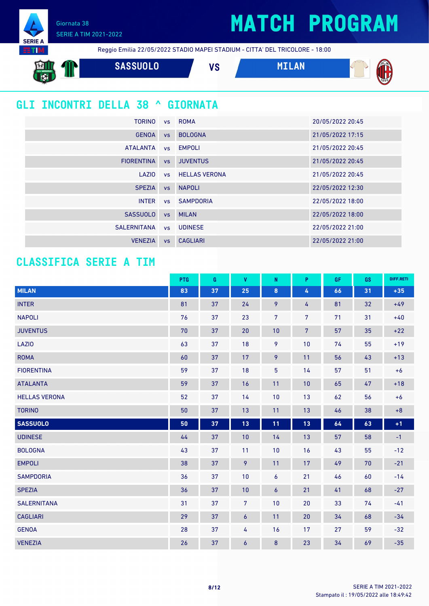### **MATCH PROGRAM**

Giornata 38 SERIE A TIM 2021-2022

Reggio Emilia 22/05/2022 STADIO MAPEI STADIUM - CITTA' DEL TRICOLORE - 18:00

**SASSUOLO VS MILAN** 

### **GLI INCONTRI DELLA 38 ^ GIORNATA**

| TORINO            |           | vs ROMA                 | 20/05/2022 20:45 |
|-------------------|-----------|-------------------------|------------------|
| <b>GENOA</b>      | <b>VS</b> | <b>BOLOGNA</b>          | 21/05/2022 17:15 |
| <b>ATALANTA</b>   |           | vs EMPOLI               | 21/05/2022 20:45 |
| <b>FIORENTINA</b> | VS        | <b>JUVENTUS</b>         | 21/05/2022 20:45 |
| LAZIO             |           | <b>vs</b> HELLAS VERONA | 21/05/2022 20:45 |
| <b>SPEZIA</b>     |           | vs NAPOLI               | 22/05/2022 12:30 |
| <b>INTER</b>      |           | ys SAMPDORIA            | 22/05/2022 18:00 |
| <b>SASSUOLO</b>   |           | vs MILAN                | 22/05/2022 18:00 |
| SALERNITANA       |           | vs UDINESE              | 22/05/2022 21:00 |
| <b>VENEZIA</b>    | <b>VS</b> | <b>CAGLIARI</b>         | 22/05/2022 21:00 |

### **CLASSIFICA SERIE A TIM**

|                      | PTG | G  | $\mathbf{V}$     | $\mathsf{N}$   | P.             | <b>GF</b> | <b>GS</b> | DIFF.RETI |
|----------------------|-----|----|------------------|----------------|----------------|-----------|-----------|-----------|
| <b>MILAN</b>         | 83  | 37 | 25               | $\bf{8}$       | $\pmb{4}$      | 66        | 31        | $+35$     |
| <b>INTER</b>         | 81  | 37 | 24               | 9              | 4              | 81        | 32        | $+49$     |
| <b>NAPOLI</b>        | 76  | 37 | 23               | $\overline{7}$ | $\overline{7}$ | 71        | 31        | $+40$     |
| <b>JUVENTUS</b>      | 70  | 37 | 20               | 10             | $\overline{7}$ | 57        | 35        | $+22$     |
| <b>LAZIO</b>         | 63  | 37 | 18               | 9              | 10             | 74        | 55        | $+19$     |
| <b>ROMA</b>          | 60  | 37 | 17               | $\overline{9}$ | 11             | 56        | 43        | $+13$     |
| <b>FIORENTINA</b>    | 59  | 37 | 18               | 5              | 14             | 57        | 51        | $+6$      |
| <b>ATALANTA</b>      | 59  | 37 | 16               | 11             | 10             | 65        | 47        | $+18$     |
| <b>HELLAS VERONA</b> | 52  | 37 | 14               | 10             | 13             | 62        | 56        | $+6$      |
| <b>TORINO</b>        | 50  | 37 | 13               | 11             | 13             | 46        | 38        | $+8$      |
| <b>SASSUOLO</b>      | 50  | 37 | 13               | 11             | $13$           | 64        | 63        | $+1$      |
| <b>UDINESE</b>       | 44  | 37 | 10               | 14             | 13             | 57        | 58        | $-1$      |
| <b>BOLOGNA</b>       | 43  | 37 | 11               | 10             | 16             | 43        | 55        | $-12$     |
| <b>EMPOLI</b>        | 38  | 37 | 9                | 11             | 17             | 49        | 70        | $-21$     |
| <b>SAMPDORIA</b>     | 36  | 37 | 10               | 6              | 21             | 46        | 60        | $-14$     |
| <b>SPEZIA</b>        | 36  | 37 | 10               | $\overline{6}$ | 21             | 41        | 68        | $-27$     |
| <b>SALERNITANA</b>   | 31  | 37 | $\overline{7}$   | 10             | 20             | 33        | 74        | $-41$     |
| <b>CAGLIARI</b>      | 29  | 37 | $\boldsymbol{6}$ | 11             | 20             | 34        | 68        | $-34$     |
| <b>GENOA</b>         | 28  | 37 | $\overline{4}$   | 16             | 17             | 27        | 59        | $-32$     |
| <b>VENEZIA</b>       | 26  | 37 | $\boldsymbol{6}$ | 8              | 23             | 34        | 69        | $-35$     |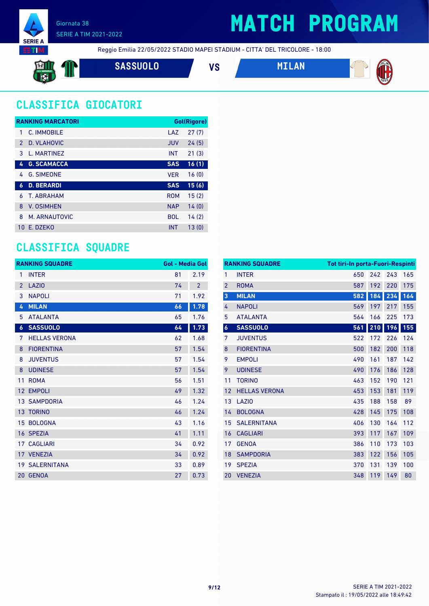

### **MATCH PROGRAM**

Reggio Emilia 22/05/2022 STADIO MAPEI STADIUM - CITTA' DEL TRICOLORE - 18:00

**SASSUOLO VS MILAN**





### **CLASSIFICA GIOCATORI**

|               | <b>RANKING MARCATORI</b> |            | Gol(Rigore) |
|---------------|--------------------------|------------|-------------|
| 1             | C. IMMOBILE              | LAZ        | 27(7)       |
| $\mathcal{P}$ | D. VLAHOVIC              | <b>JUV</b> | 24(5)       |
| 3             | L. MARTINEZ              | <b>INT</b> | 21(3)       |
| 4             | <b>G. SCAMACCA</b>       | <b>SAS</b> | 16(1)       |
| 4             | <b>G. SIMEONE</b>        | <b>VER</b> | 16(0)       |
| 6             | <b>D. BERARDI</b>        | <b>SAS</b> | 15(6)       |
| 6             | <b>T. ABRAHAM</b>        | <b>ROM</b> | 15(2)       |
| 8             | <b>V. OSIMHEN</b>        | <b>NAP</b> | 14(0)       |
| 8             | M. ARNAUTOVIC            | <b>BOL</b> | 14(2)       |
| 10            | F. DZFKO                 | <b>INT</b> | 13(0)       |

### **CLASSIFICA SQUADRE**

|                  | <b>RANKING SQUADRE</b> | <b>Gol - Media Gol</b> |                |
|------------------|------------------------|------------------------|----------------|
| 1                | <b>INTER</b>           | 81                     | 2.19           |
| $\overline{2}$   | <b>LAZIO</b>           | 74                     | $\overline{2}$ |
| 3                | <b>NAPOLI</b>          | 71                     | 1.92           |
| 4                | <b>MILAN</b>           | 66                     | 1.78           |
| 5                | <b>ATALANTA</b>        | 65                     | 1.76           |
| $\boldsymbol{6}$ | <b>SASSUOLO</b>        | 64                     | 1.73           |
| 7                | <b>HELLAS VERONA</b>   | 62                     | 1.68           |
| 8                | <b>FIORENTINA</b>      | 57                     | 1.54           |
| 8                | <b>JUVENTUS</b>        | 57                     | 1.54           |
| 8                | <b>UDINESE</b>         | 57                     | 1.54           |
| 11               | <b>ROMA</b>            | 56                     | 1.51           |
| 12               | <b>EMPOLI</b>          | 49                     | 1.32           |
|                  | <b>13 SAMPDORIA</b>    | 46                     | 1.24           |
|                  | 13 TORINO              | 46                     | 1.24           |
| 15               | <b>BOLOGNA</b>         | 43                     | 1.16           |
|                  | 16 SPEZIA              | 41                     | 1.11           |
|                  | <b>17 CAGLIARI</b>     | 34                     | 0.92           |
|                  | 17 VENEZIA             | 34                     | 0.92           |
|                  | <b>19 SALERNITANA</b>  | 33                     | 0.89           |
| 20               | <b>GENOA</b>           | 27                     | 0.73           |

|                | <b>RANKING SQUADRE</b> | Tot tiri-In porta-Fuori-Respinti |     |     |     |
|----------------|------------------------|----------------------------------|-----|-----|-----|
| $\mathbf{1}$   | <b>INTER</b>           | 650                              | 242 | 243 | 165 |
| $\overline{2}$ | <b>ROMA</b>            | 587                              | 192 | 220 | 175 |
| 3              | <b>MILAN</b>           | 582                              | 184 | 234 | 164 |
| 4              | <b>NAPOLI</b>          | 569                              | 197 | 217 | 155 |
| 5              | <b>ATALANTA</b>        | 564                              | 166 | 225 | 173 |
| $\pmb{6}$      | <b>SASSUOLO</b>        | 561                              | 210 | 196 | 155 |
| 7              | <b>JUVENTUS</b>        | 522                              | 172 | 226 | 124 |
| 8              | <b>FIORENTINA</b>      | 500                              | 182 | 200 | 118 |
| 9              | <b>EMPOLI</b>          | 490                              | 161 | 187 | 142 |
| 9              | <b>UDINESE</b>         | 490                              | 176 | 186 | 128 |
| 11             | <b>TORINO</b>          | 463                              | 152 | 190 | 121 |
| 12             | <b>HELLAS VERONA</b>   | 453                              | 153 | 181 | 119 |
| 13             | LAZI <sub>0</sub>      | 435                              | 188 | 158 | 89  |
| 14             | <b>BOLOGNA</b>         | 428                              | 145 | 175 | 108 |
| 15             | <b>SALERNITANA</b>     | 406                              | 130 | 164 | 112 |
| 16             | <b>CAGLIARI</b>        | 393                              | 117 | 167 | 109 |
| 17             | <b>GENOA</b>           | 386                              | 110 | 173 | 103 |
| 18             | <b>SAMPDORIA</b>       | 383                              | 122 | 156 | 105 |
| 19             | <b>SPEZIA</b>          | 370                              | 131 | 139 | 100 |
| 20             | <b>VENEZIA</b>         | 348                              | 119 | 149 | 80  |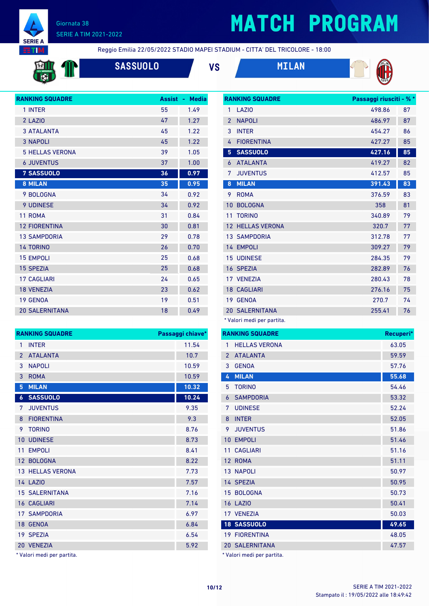

# **MATCH PROGRAM**

**RANKING SQUADRE Passaggi riusciti - % \***



Reggio Emilia 22/05/2022 STADIO MAPEI STADIUM - CITTA' DEL TRICOLORE - 18:00



**SASSUOLO VS MILAN**





| 1              | LAZI <sub>0</sub>     | 498.86 | 87 |
|----------------|-----------------------|--------|----|
| $\overline{2}$ | <b>NAPOLI</b>         | 486.97 | 87 |
| 3              | <b>INTER</b>          | 454.27 | 86 |
| 4              | <b>FIORENTINA</b>     | 427.27 | 85 |
| 5              | <b>SASSUOLO</b>       | 427.16 | 85 |
| 6              | <b>ATALANTA</b>       | 419.27 | 82 |
| 7              | <b>JUVENTUS</b>       | 412.57 | 85 |
| 8              | <b>MILAN</b>          | 391.43 | 83 |
| 9              | <b>ROMA</b>           | 376.59 | 83 |
| 10             | <b>BOLOGNA</b>        | 358    | 81 |
| 11             | <b>TORINO</b>         | 340.89 | 79 |
| 12             | <b>HELLAS VERONA</b>  | 320.7  | 77 |
|                | <b>13 SAMPDORIA</b>   | 312.78 | 77 |
| 14             | <b>EMPOLI</b>         | 309.27 | 79 |
| 15             | <b>UDINESE</b>        | 284.35 | 79 |
|                | 16 SPEZIA             | 282.89 | 76 |
| 17             | <b>VENEZIA</b>        | 280.43 | 78 |
|                | <b>18 CAGLIARI</b>    | 276.16 | 75 |
| 19             | <b>GENOA</b>          | 270.7  | 74 |
|                | <b>20 SALERNITANA</b> | 255.41 | 76 |
|                |                       |        |    |

\* Valori medi per partita.

| gi chiave* | <b>RANKING SQUADRE</b>            | Recuperi* |
|------------|-----------------------------------|-----------|
| 11.54      | <b>HELLAS VERONA</b><br>1         | 63.05     |
| 10.7       | <b>ATALANTA</b><br>$\overline{2}$ | 59.59     |
| 10.59      | <b>GENOA</b><br>3                 | 57.76     |
| 10.59      | <b>MILAN</b><br>4                 | 55.68     |
| 10.32      | <b>TORINO</b><br>5                | 54.46     |
| 10.24      | <b>SAMPDORIA</b><br>6             | 53.32     |
| 9.35       | <b>UDINESE</b><br>7               | 52.24     |
| 9.3        | <b>INTER</b><br>8                 | 52.05     |
| 8.76       | <b>JUVENTUS</b><br>9              | 51.86     |
| 8.73       | 10 EMPOLI                         | 51.46     |
| 8.41       | 11 CAGLIARI                       | 51.16     |
| 8.22       | 12 ROMA                           | 51.11     |
| 7.73       | <b>13 NAPOLI</b>                  | 50.97     |
| 7.57       | 14 SPEZIA                         | 50.95     |
| 7.16       | 15 BOLOGNA                        | 50.73     |
| 7.14       | <b>16 LAZIO</b>                   | 50.41     |
| 6.97       | 17 VENEZIA                        | 50.03     |
| 6.84       | <b>18 SASSUOLO</b>                | 49.65     |
| 6.54       | <b>19 FIORENTINA</b>              | 48.05     |
| 5.92       | <b>20 SALERNITANA</b>             | 47.57     |
|            | * Valori medi per partita.        |           |

|                | IVAINININU JUUAUINL                                         | г аээаууг статс |
|----------------|-------------------------------------------------------------|-----------------|
| 1              | <b>INTER</b>                                                | 11.54           |
| $\overline{2}$ | <b>ATALANTA</b>                                             | 10.7            |
| 3              | <b>NAPOLI</b>                                               | 10.59           |
| 3              | <b>ROMA</b>                                                 | 10.59           |
| 5              | <b>MILAN</b>                                                | 10.32           |
| 6              | <b>SASSUOLO</b>                                             | 10.24           |
| 7              | <b>JUVENTUS</b>                                             | 9.35            |
| 8              | <b>FIORENTINA</b>                                           | 9.3             |
| 9              | <b>TORINO</b>                                               | 8.76            |
| 10             | <b>UDINESE</b>                                              | 8.73            |
| 11             | <b>EMPOLI</b>                                               | 8.41            |
|                | 12 BOLOGNA                                                  | 8.22            |
|                | 13 HELLAS VERONA                                            | 7.73            |
|                | <b>14 LAZIO</b>                                             | 7.57            |
|                | <b>15 SALERNITANA</b>                                       | 7.16            |
|                | <b>16 CAGLIARI</b>                                          | 7.14            |
|                | <b>17 SAMPDORIA</b>                                         | 6.97            |
|                | 18 GENOA                                                    | 6.84            |
|                | 19 SPEZIA                                                   | 6.54            |
|                | 20 VENEZIA                                                  | 5.92            |
|                | المستقلقات والمستمر فالمراجع والمستنقص والمسترابة فالمستحدث |                 |

Valori medi per partita.

**RANKING SQUADRE Passaggi chiave\***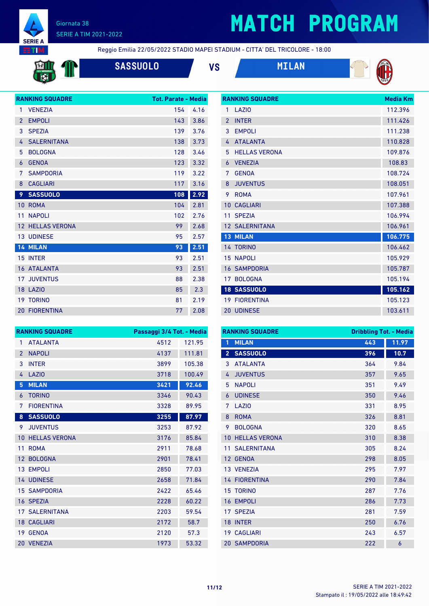

# **MATCH PROGRAM**

**NITE:** 

Reggio Emilia 22/05/2022 STADIO MAPEI STADIUM - CITTA' DEL TRICOLORE - 18:00

| <b>SASSUOLO</b> | VS | <b>MILAN</b> |
|-----------------|----|--------------|
|                 |    |              |



**RANKING SQUADRE Media Km** LAZIO 112.396



|                | <b>RANKING SQUADRE</b> | <b>Tot. Parate - Media</b> |      |
|----------------|------------------------|----------------------------|------|
| 1              | <b>VENEZIA</b>         | 154                        | 4.16 |
| $\overline{2}$ | <b>EMPOLI</b>          | 143                        | 3.86 |
| 3              | <b>SPEZIA</b>          | 139                        | 3.76 |
| 4              | <b>SALERNITANA</b>     | 138                        | 3.73 |
| 5              | <b>BOLOGNA</b>         | 128                        | 3.46 |
| 6              | <b>GENOA</b>           | 123                        | 3.32 |
| 7              | <b>SAMPDORIA</b>       | 119                        | 3.22 |
| 8              | <b>CAGLIARI</b>        | 117                        | 3.16 |
| 9              | <b>SASSUOLO</b>        | 108                        | 2.92 |
| 10             | <b>ROMA</b>            | 104                        | 2.81 |
| 11             | <b>NAPOLI</b>          | 102                        | 2.76 |
| 12             | <b>HELLAS VERONA</b>   | 99                         | 2.68 |
|                |                        |                            |      |
|                | <b>13 UDINESE</b>      | 95                         | 2.57 |
|                | 14 MILAN               | 93                         | 2.51 |
|                | 15 INTER               | 93                         | 2.51 |
|                | <b>16 ATALANTA</b>     | 93                         | 2.51 |
|                | <b>17 JUVENTUS</b>     | 88                         | 2.38 |
|                | 18 LAZIO               | 85                         | 2.3  |
| 19             | <b>TORINO</b>          | 81                         | 2.19 |

| $\mathfrak{p}$  | <b>INTFR</b>          | 111.426 |
|-----------------|-----------------------|---------|
| 3               | <b>FMP0LI</b>         | 111.238 |
| 4               | <b>ATALANTA</b>       | 110.828 |
| 5               | <b>HELLAS VERONA</b>  | 109.876 |
| $\overline{6}$  | <b>VENEZIA</b>        | 108.83  |
| 7               | <b>GENOA</b>          | 108.724 |
| 8               | <b>JUVENTUS</b>       | 108.051 |
| 9               | <b>ROMA</b>           | 107.961 |
| 10 <sup>°</sup> | <b>CAGLIARI</b>       | 107.388 |
| 11              | <b>SPF7IA</b>         | 106.994 |
|                 | <b>12 SALERNITANA</b> | 106.961 |
|                 | <b>13 MILAN</b>       | 106.775 |
|                 | 14 TORINO             | 106.462 |
|                 | <b>15 NAPOLI</b>      | 105.929 |
|                 | <b>16 SAMPDORIA</b>   | 105.787 |
| 17 <sup>1</sup> | <b>BOLOGNA</b>        | 105.194 |
|                 | 18 SASSUOLO           | 105.162 |
|                 | <b>19 FIORENTINA</b>  | 105.123 |
|                 | <b>20 UDINESE</b>     | 103.611 |

|                 | <b>RANKING SQUADRE</b> | Passaggi 3/4 Tot. - Media |        |
|-----------------|------------------------|---------------------------|--------|
| 1               | <b>ATALANTA</b>        | 4512                      | 121.95 |
| $\overline{2}$  | <b>NAPOLI</b>          | 4137                      | 111.81 |
| 3               | <b>INTER</b>           | 3899                      | 105.38 |
| 4               | <b>LAZIO</b>           | 3718                      | 100.49 |
| 5               | <b>MILAN</b>           | 3421                      | 92.46  |
| 6               | <b>TORINO</b>          | 3346                      | 90.43  |
| 7               | <b>FIORENTINA</b>      | 3328                      | 89.95  |
| 8               | <b>SASSUOLO</b>        | 3255                      | 87.97  |
| 9               | <b>JUVENTUS</b>        | 3253                      | 87.92  |
| 10              | <b>HELLAS VERONA</b>   | 3176                      | 85.84  |
| 11              | <b>ROMA</b>            | 2911                      | 78.68  |
| 12 <sup>2</sup> | <b>BOLOGNA</b>         | 2901                      | 78.41  |
| 13 <sup>°</sup> | <b>EMPOLI</b>          | 2850                      | 77.03  |
|                 | <b>14 UDINESE</b>      | 2658                      | 71.84  |
|                 | <b>15 SAMPDORIA</b>    | 2422                      | 65.46  |
| 16              | <b>SPEZIA</b>          | 2228                      | 60.22  |
|                 | <b>17 SALERNITANA</b>  | 2203                      | 59.54  |
|                 | <b>18 CAGLIARI</b>     | 2172                      | 58.7   |
| 19              | <b>GENOA</b>           | 2120                      | 57.3   |
| 20              | <b>VENEZIA</b>         | 1973                      | 53.32  |

| <b>RANKING SQUADRE</b> |                      | <b>Dribbling Tot. - Media</b> |       |
|------------------------|----------------------|-------------------------------|-------|
| 1                      | <b>MILAN</b>         | 443                           | 11.97 |
| $\overline{2}$         | <b>SASSUOLO</b>      | 396                           | 10.7  |
| 3                      | <b>ATAI ANTA</b>     | 364                           | 9.84  |
| 4                      | <b>JUVENTUS</b>      | 357                           | 9.65  |
| 5                      | <b>NAPOLI</b>        | 351                           | 9.49  |
| 6                      | <b>UDINESE</b>       | 350                           | 9.46  |
| 7                      | LAZI <sub>0</sub>    | 331                           | 8.95  |
| 8                      | <b>ROMA</b>          | 326                           | 8.81  |
| 9                      | <b>BOLOGNA</b>       | 320                           | 8.65  |
| 10                     | <b>HELLAS VERONA</b> | 310                           | 8.38  |
| 11                     | <b>SALERNITANA</b>   | 305                           | 8.24  |
| 12                     | <b>GENOA</b>         | 298                           | 8.05  |
|                        | 13 VENEZIA           | 295                           | 7.97  |
|                        | <b>14 FIORENTINA</b> | 290                           | 7.84  |
|                        | <b>15 TORINO</b>     | 287                           | 7.76  |
| 16                     | <b>EMPOLI</b>        | 286                           | 7.73  |
| 17                     | <b>SPEZIA</b>        | 281                           | 7.59  |
| 18                     | <b>INTER</b>         | 250                           | 6.76  |
|                        | <b>19 CAGLIARI</b>   | 243                           | 6.57  |
|                        | <b>20 SAMPDORIA</b>  | 222                           | 6     |